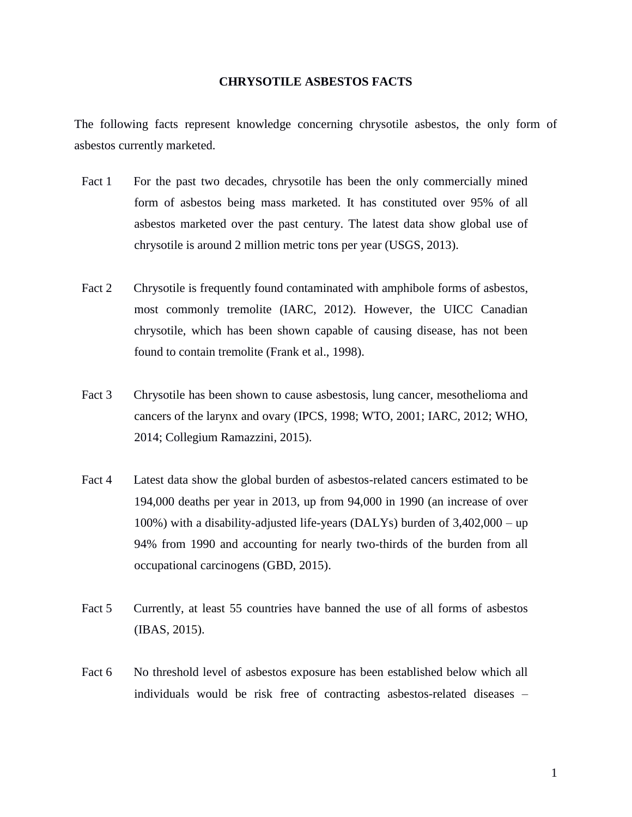## **CHRYSOTILE ASBESTOS FACTS**

The following facts represent knowledge concerning chrysotile asbestos, the only form of asbestos currently marketed.

- Fact 1 For the past two decades, chrysotile has been the only commercially mined form of asbestos being mass marketed. It has constituted over 95% of all asbestos marketed over the past century. The latest data show global use of chrysotile is around 2 million metric tons per year (USGS, 2013).
- Fact 2 Chrysotile is frequently found contaminated with amphibole forms of asbestos, most commonly tremolite (IARC, 2012). However, the UICC Canadian chrysotile, which has been shown capable of causing disease, has not been found to contain tremolite (Frank et al., 1998).
- Fact 3 Chrysotile has been shown to cause asbestosis, lung cancer, mesothelioma and cancers of the larynx and ovary (IPCS, 1998; WTO, 2001; IARC, 2012; WHO, 2014; Collegium Ramazzini, 2015).
- Fact 4 Latest data show the global burden of asbestos-related cancers estimated to be 194,000 deaths per year in 2013, up from 94,000 in 1990 (an increase of over 100%) with a disability-adjusted life-years (DALYs) burden of 3,402,000 – up 94% from 1990 and accounting for nearly two-thirds of the burden from all occupational carcinogens (GBD, 2015).
- Fact 5 Currently, at least 55 countries have banned the use of all forms of asbestos (IBAS, 2015).
- Fact 6 No threshold level of asbestos exposure has been established below which all individuals would be risk free of contracting asbestos-related diseases –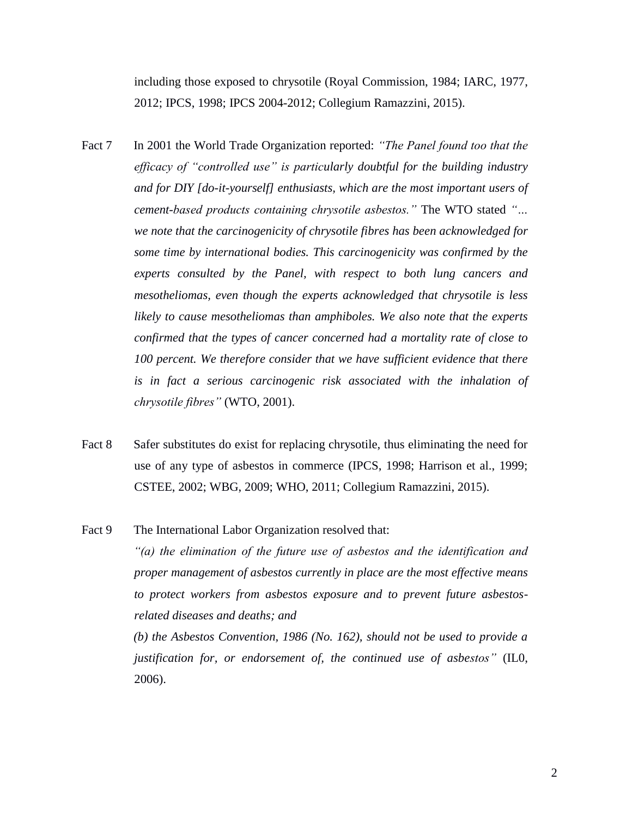including those exposed to chrysotile (Royal Commission, 1984; IARC, 1977, 2012; IPCS, 1998; IPCS 2004-2012; Collegium Ramazzini, 2015).

- Fact 7 In 2001 the World Trade Organization reported: *"The Panel found too that the efficacy of "controlled use" is particularly doubtful for the building industry and for DIY [do-it-yourself] enthusiasts, which are the most important users of cement-based products containing chrysotile asbestos."* The WTO stated *"… we note that the carcinogenicity of chrysotile fibres has been acknowledged for some time by international bodies. This carcinogenicity was confirmed by the experts consulted by the Panel, with respect to both lung cancers and mesotheliomas, even though the experts acknowledged that chrysotile is less likely to cause mesotheliomas than amphiboles. We also note that the experts confirmed that the types of cancer concerned had a mortality rate of close to 100 percent. We therefore consider that we have sufficient evidence that there is in fact a serious carcinogenic risk associated with the inhalation of chrysotile fibres"* (WTO, 2001).
- Fact 8 Safer substitutes do exist for replacing chrysotile, thus eliminating the need for use of any type of asbestos in commerce (IPCS, 1998; Harrison et al., 1999; CSTEE, 2002; WBG, 2009; WHO, 2011; Collegium Ramazzini, 2015).

Fact 9 The International Labor Organization resolved that:

*"(a) the elimination of the future use of asbestos and the identification and proper management of asbestos currently in place are the most effective means to protect workers from asbestos exposure and to prevent future asbestosrelated diseases and deaths; and*

*(b) the Asbestos Convention, 1986 (No. 162), should not be used to provide a justification for, or endorsement of, the continued use of asbestos*" (IL0, 2006).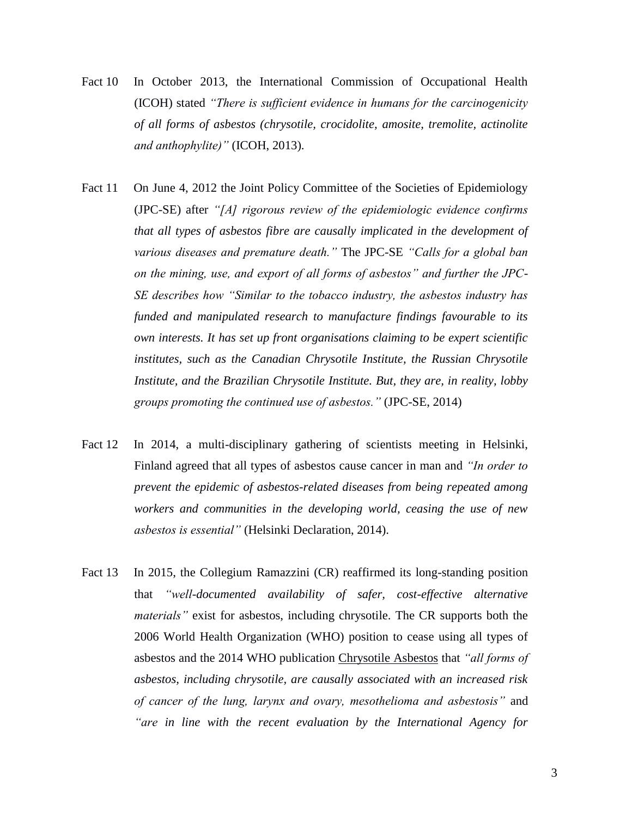- Fact 10 In October 2013, the International Commission of Occupational Health (ICOH) stated *"There is sufficient evidence in humans for the carcinogenicity of all forms of asbestos (chrysotile, crocidolite, amosite, tremolite, actinolite and anthophylite)"* (ICOH, 2013).
- Fact 11 On June 4, 2012 the Joint Policy Committee of the Societies of Epidemiology (JPC-SE) after *"[A] rigorous review of the epidemiologic evidence confirms that all types of asbestos fibre are causally implicated in the development of various diseases and premature death."* The JPC-SE *"Calls for a global ban on the mining, use, and export of all forms of asbestos" and further the JPC-SE describes how "Similar to the tobacco industry, the asbestos industry has funded and manipulated research to manufacture findings favourable to its own interests. It has set up front organisations claiming to be expert scientific institutes, such as the Canadian Chrysotile Institute, the Russian Chrysotile Institute, and the Brazilian Chrysotile Institute. But, they are, in reality, lobby groups promoting the continued use of asbestos."* (JPC-SE, 2014)
- Fact 12 In 2014, a multi-disciplinary gathering of scientists meeting in Helsinki, Finland agreed that all types of asbestos cause cancer in man and *"In order to prevent the epidemic of asbestos-related diseases from being repeated among workers and communities in the developing world, ceasing the use of new asbestos is essential"* (Helsinki Declaration, 2014).
- Fact 13 In 2015, the Collegium Ramazzini (CR) reaffirmed its long-standing position that *"well-documented availability of safer, cost-effective alternative materials"* exist for asbestos, including chrysotile. The CR supports both the 2006 World Health Organization (WHO) position to cease using all types of asbestos and the 2014 WHO publication Chrysotile Asbestos that *"all forms of asbestos, including chrysotile, are causally associated with an increased risk of cancer of the lung, larynx and ovary, mesothelioma and asbestosis"* and *"are in line with the recent evaluation by the International Agency for*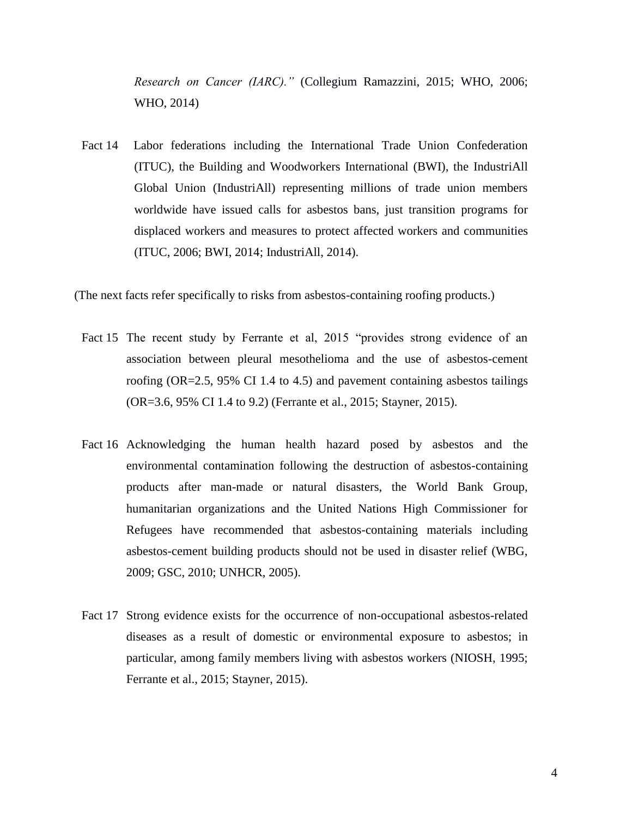*Research on Cancer (IARC)."* (Collegium Ramazzini, 2015; WHO, 2006; WHO, 2014)

Fact 14 Labor federations including the International Trade Union Confederation (ITUC), the Building and Woodworkers International (BWI), the IndustriAll Global Union (IndustriAll) representing millions of trade union members worldwide have issued calls for asbestos bans, just transition programs for displaced workers and measures to protect affected workers and communities (ITUC, 2006; BWI, 2014; IndustriAll, 2014).

(The next facts refer specifically to risks from asbestos-containing roofing products.)

- Fact 15 The recent study by Ferrante et al, 2015 "provides strong evidence of an association between pleural mesothelioma and the use of asbestos-cement roofing (OR=2.5, 95% CI 1.4 to 4.5) and pavement containing asbestos tailings (OR=3.6, 95% CI 1.4 to 9.2) (Ferrante et al., 2015; Stayner, 2015).
- Fact 16 Acknowledging the human health hazard posed by asbestos and the environmental contamination following the destruction of asbestos-containing products after man-made or natural disasters, the World Bank Group, humanitarian organizations and the United Nations High Commissioner for Refugees have recommended that asbestos-containing materials including asbestos-cement building products should not be used in disaster relief (WBG, 2009; GSC, 2010; UNHCR, 2005).
- Fact 17 Strong evidence exists for the occurrence of non-occupational asbestos-related diseases as a result of domestic or environmental exposure to asbestos; in particular, among family members living with asbestos workers (NIOSH, 1995; Ferrante et al., 2015; Stayner, 2015).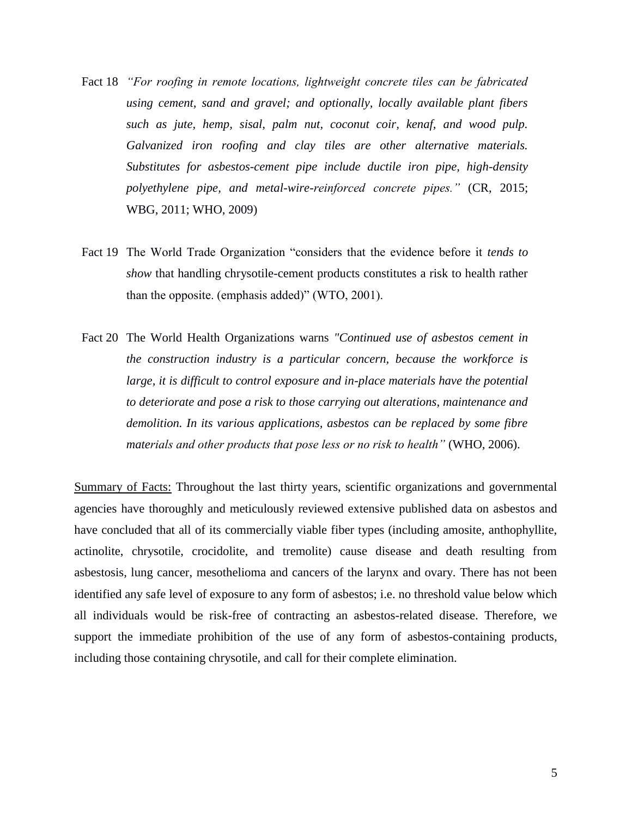- Fact 18 *"For roofing in remote locations, lightweight concrete tiles can be fabricated using cement, sand and gravel; and optionally, locally available plant fibers such as jute, hemp, sisal, palm nut, coconut coir, kenaf, and wood pulp. Galvanized iron roofing and clay tiles are other alternative materials. Substitutes for asbestos-cement pipe include ductile iron pipe, high-density polyethylene pipe, and metal-wire-reinforced concrete pipes."* (CR, 2015; WBG, 2011; WHO, 2009)
- Fact 19 The World Trade Organization "considers that the evidence before it *tends to show* that handling chrysotile-cement products constitutes a risk to health rather than the opposite. (emphasis added)" (WTO, 2001).
- Fact 20 The World Health Organizations warns *"Continued use of asbestos cement in the construction industry is a particular concern, because the workforce is large, it is difficult to control exposure and in-place materials have the potential to deteriorate and pose a risk to those carrying out alterations, maintenance and demolition. In its various applications, asbestos can be replaced by some fibre materials and other products that pose less or no risk to health"* (WHO, 2006).

Summary of Facts: Throughout the last thirty years, scientific organizations and governmental agencies have thoroughly and meticulously reviewed extensive published data on asbestos and have concluded that all of its commercially viable fiber types (including amosite, anthophyllite, actinolite, chrysotile, crocidolite, and tremolite) cause disease and death resulting from asbestosis, lung cancer, mesothelioma and cancers of the larynx and ovary. There has not been identified any safe level of exposure to any form of asbestos; i.e. no threshold value below which all individuals would be risk-free of contracting an asbestos-related disease. Therefore, we support the immediate prohibition of the use of any form of asbestos-containing products, including those containing chrysotile, and call for their complete elimination.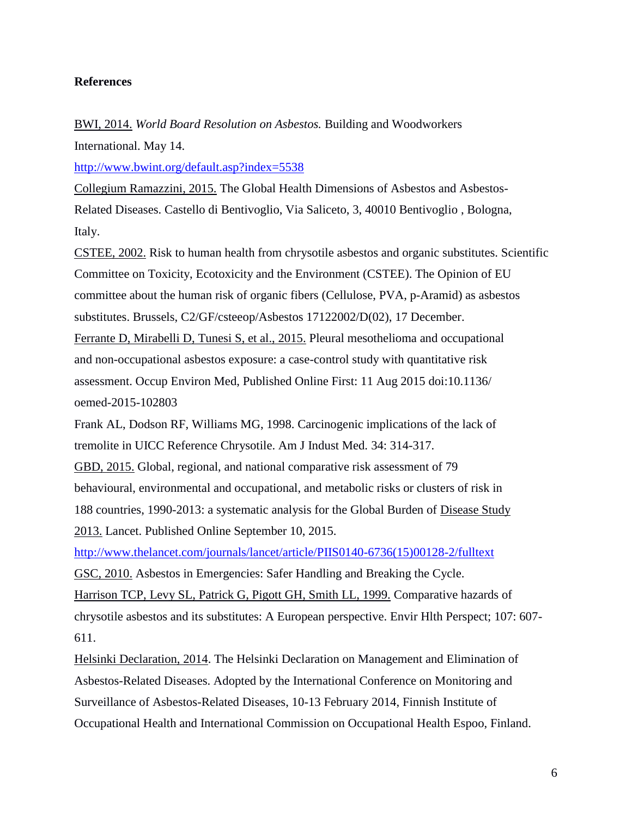## **References**

BWI, 2014. *World Board Resolution on Asbestos.* Building and Woodworkers International. May 14.

<http://www.bwint.org/default.asp?index=5538>

Collegium Ramazzini, 2015. The Global Health Dimensions of Asbestos and Asbestos-Related Diseases. Castello di Bentivoglio, Via Saliceto, 3, 40010 Bentivoglio , Bologna, Italy.

CSTEE, 2002. Risk to human health from chrysotile asbestos and organic substitutes. Scientific Committee on Toxicity, Ecotoxicity and the Environment (CSTEE). The Opinion of EU committee about the human risk of organic fibers (Cellulose, PVA, p-Aramid) as asbestos substitutes. Brussels, C2/GF/csteeop/Asbestos 17122002/D(02), 17 December.

Ferrante D, Mirabelli D, Tunesi S, et al., 2015. Pleural mesothelioma and occupational and non-occupational asbestos exposure: a case-control study with quantitative risk assessment. Occup Environ Med, Published Online First: 11 Aug 2015 doi:10.1136/ oemed-2015-102803

Frank AL, Dodson RF, Williams MG, 1998. Carcinogenic implications of the lack of tremolite in UICC Reference Chrysotile. Am J Indust Med. 34: 314-317.

GBD, 2015. Global, regional, and national comparative risk assessment of 79 behavioural, environmental and occupational, and metabolic risks or clusters of risk in 188 countries, 1990-2013: a systematic analysis for the Global Burden of Disease Study 2013. Lancet. Published Online September 10, 2015.

[http://www.thelancet.com/journals/lancet/article/PIIS0140-6736\(15\)00128-2/fulltext](http://www.thelancet.com/journals/lancet/article/PIIS0140-6736(15)00128-2/fulltext)

GSC, 2010. Asbestos in Emergencies: Safer Handling and Breaking the Cycle. Harrison TCP, Levy SL, Patrick G, Pigott GH, Smith LL, 1999. Comparative hazards of chrysotile asbestos and its substitutes: A European perspective. Envir Hlth Perspect; 107: 607- 611.

Helsinki Declaration, 2014. The Helsinki Declaration on Management and Elimination of Asbestos-Related Diseases. Adopted by the International Conference on Monitoring and Surveillance of Asbestos-Related Diseases, 10-13 February 2014, Finnish Institute of Occupational Health and International Commission on Occupational Health Espoo, Finland.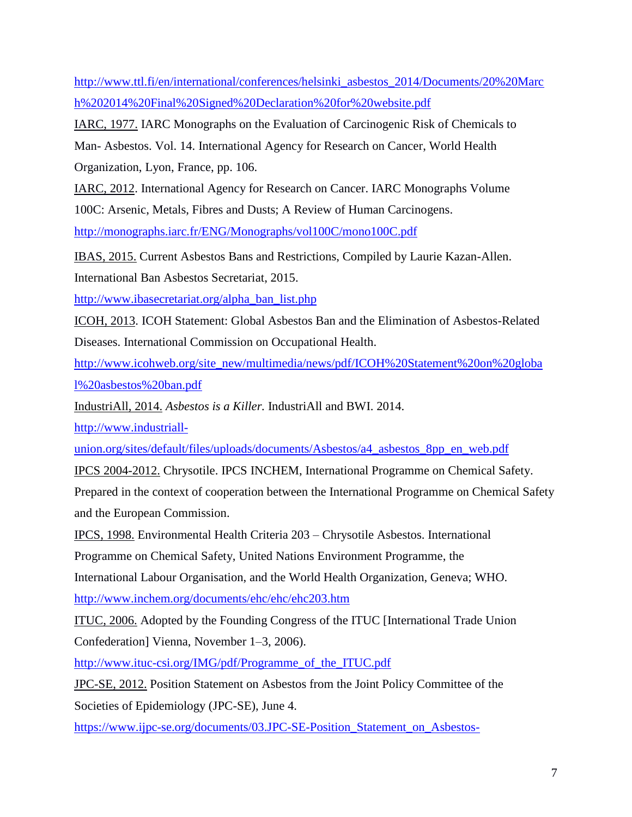[http://www.ttl.fi/en/international/conferences/helsinki\\_asbestos\\_2014/Documents/20%20Marc](http://www.ttl.fi/en/international/conferences/helsinki_asbestos_2014/Documents/20%20March%202014%20Final%20Signed%20Declaration%20for%20website.pdf) [h%202014%20Final%20Signed%20Declaration%20for%20website.pdf](http://www.ttl.fi/en/international/conferences/helsinki_asbestos_2014/Documents/20%20March%202014%20Final%20Signed%20Declaration%20for%20website.pdf)

IARC, 1977. IARC Monographs on the Evaluation of Carcinogenic Risk of Chemicals to

Man- Asbestos. Vol. 14. International Agency for Research on Cancer, World Health Organization, Lyon, France, pp. 106.

IARC, 2012. International Agency for Research on Cancer. IARC Monographs Volume

100C: Arsenic, Metals, Fibres and Dusts; A Review of Human Carcinogens.

<http://monographs.iarc.fr/ENG/Monographs/vol100C/mono100C.pdf>

IBAS, 2015. Current Asbestos Bans and Restrictions, Compiled by Laurie Kazan-Allen.

International Ban Asbestos Secretariat, 2015.

[http://www.ibasecretariat.org/alpha\\_ban\\_list.php](http://www.ibasecretariat.org/alpha_ban_list.php)

ICOH, 2013. ICOH Statement: Global Asbestos Ban and the Elimination of Asbestos-Related Diseases. International Commission on Occupational Health.

[http://www.icohweb.org/site\\_new/multimedia/news/pdf/ICOH%20Statement%20on%20globa](http://www.icohweb.org/site_new/multimedia/news/pdf/ICOH%20Statement%20on%20global%20asbestos%20ban.pdf) [l%20asbestos%20ban.pdf](http://www.icohweb.org/site_new/multimedia/news/pdf/ICOH%20Statement%20on%20global%20asbestos%20ban.pdf)

IndustriAll, 2014. *Asbestos is a Killer.* IndustriAll and BWI. 2014.

[http://www.industriall-](http://www.industriall-union.org/sites/default/files/uploads/documents/Asbestos/a4_asbestos_8pp_en_web.pdf)

[union.org/sites/default/files/uploads/documents/Asbestos/a4\\_asbestos\\_8pp\\_en\\_web.pdf](http://www.industriall-union.org/sites/default/files/uploads/documents/Asbestos/a4_asbestos_8pp_en_web.pdf)

IPCS 2004-2012. Chrysotile. IPCS INCHEM, International Programme on Chemical Safety.

Prepared in the context of cooperation between the International Programme on Chemical Safety and the European Commission.

IPCS, 1998. Environmental Health Criteria 203 – Chrysotile Asbestos. International

Programme on Chemical Safety, United Nations Environment Programme, the

International Labour Organisation, and the World Health Organization, Geneva; WHO.

<http://www.inchem.org/documents/ehc/ehc/ehc203.htm>

ITUC, 2006. Adopted by the Founding Congress of the ITUC [International Trade Union Confederation] Vienna, November 1–3, 2006).

[http://www.ituc-csi.org/IMG/pdf/Programme\\_of\\_the\\_ITUC.pdf](http://www.ituc-csi.org/IMG/pdf/Programme_of_the_ITUC.pdf)

JPC-SE, 2012. Position Statement on Asbestos from the Joint Policy Committee of the Societies of Epidemiology (JPC-SE), June 4.

[https://www.ijpc-se.org/documents/03.JPC-SE-Position\\_Statement\\_on\\_Asbestos-](https://www.ijpc-se.org/documents/03.JPC-SE-Position_Statement_on_Asbestos-June_4_2012-Full_Statement_and_Appendix_A.pdf)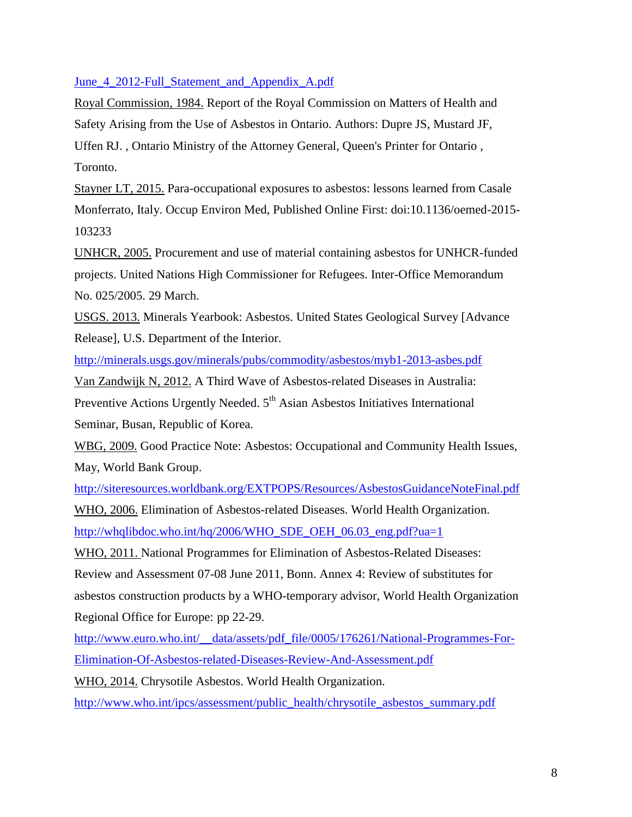[June\\_4\\_2012-Full\\_Statement\\_and\\_Appendix\\_A.pdf](https://www.ijpc-se.org/documents/03.JPC-SE-Position_Statement_on_Asbestos-June_4_2012-Full_Statement_and_Appendix_A.pdf) 

Royal Commission, 1984. Report of the Royal Commission on Matters of Health and Safety Arising from the Use of Asbestos in Ontario. Authors: Dupre JS, Mustard JF, Uffen RJ. , Ontario Ministry of the Attorney General, Queen's Printer for Ontario , Toronto.

Stayner LT, 2015. Para-occupational exposures to asbestos: lessons learned from Casale Monferrato, Italy. Occup Environ Med, Published Online First: doi:10.1136/oemed-2015- 103233

UNHCR, 2005. Procurement and use of material containing asbestos for UNHCR-funded projects. United Nations High Commissioner for Refugees. Inter-Office Memorandum No. 025/2005. 29 March.

USGS. 2013. Minerals Yearbook: Asbestos. United States Geological Survey [Advance Release], U.S. Department of the Interior.

<http://minerals.usgs.gov/minerals/pubs/commodity/asbestos/myb1-2013-asbes.pdf>

Van Zandwijk N, 2012. A Third Wave of Asbestos-related Diseases in Australia:

Preventive Actions Urgently Needed. 5<sup>th</sup> Asian Asbestos Initiatives International Seminar, Busan, Republic of Korea.

WBG, 2009. Good Practice Note: Asbestos: Occupational and Community Health Issues, May, World Bank Group.

<http://siteresources.worldbank.org/EXTPOPS/Resources/AsbestosGuidanceNoteFinal.pdf>

WHO, 2006. Elimination of Asbestos-related Diseases. World Health Organization. [http://whqlibdoc.who.int/hq/2006/WHO\\_SDE\\_OEH\\_06.03\\_eng.pdf?ua=1](http://whqlibdoc.who.int/hq/2006/WHO_SDE_OEH_06.03_eng.pdf?ua=1)

WHO, 2011. National Programmes for Elimination of Asbestos-Related Diseases:

Review and Assessment 07-08 June 2011, Bonn. Annex 4: Review of substitutes for asbestos construction products by a WHO-temporary advisor, World Health Organization Regional Office for Europe: pp 22-29.

[http://www.euro.who.int/\\_\\_data/assets/pdf\\_file/0005/176261/National-Programmes-For-](http://www.euro.who.int/__data/assets/pdf_file/0005/176261/National-Programmes-For-Elimination-Of-Asbestos-related-Diseases-Review-And-Assessment.pdf)[Elimination-Of-Asbestos-related-Diseases-Review-And-Assessment.pdf](http://www.euro.who.int/__data/assets/pdf_file/0005/176261/National-Programmes-For-Elimination-Of-Asbestos-related-Diseases-Review-And-Assessment.pdf)

WHO, 2014. Chrysotile Asbestos. World Health Organization.

[http://www.who.int/ipcs/assessment/public\\_health/chrysotile\\_asbestos\\_summary.pdf](http://www.who.int/ipcs/assessment/public_health/chrysotile_asbestos_summary.pdf)